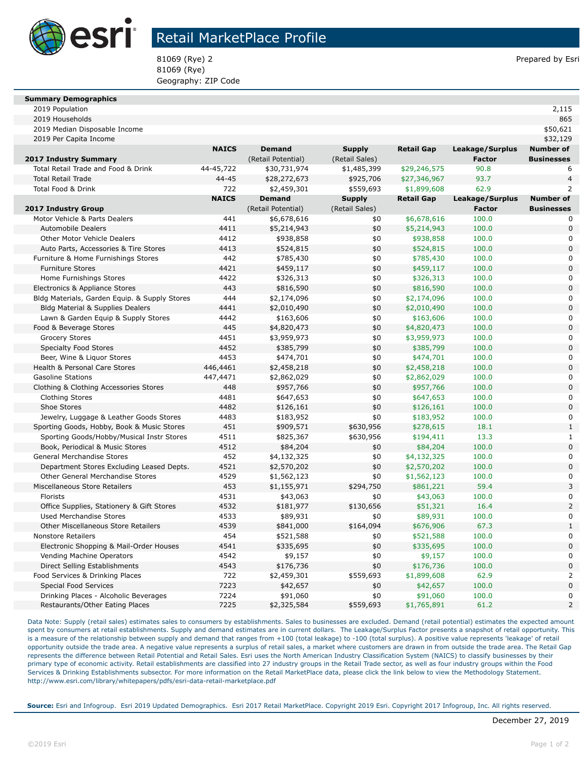

## Retail MarketPlace Profile

81069 (Rye) 2 **Prepared by Esri** 81069 (Rye) Geography: ZIP Code

#### **Summary Demographics**

2019 Population 2,115

| 2019 Households                               |              |                    |                |                   |                 | 865               |
|-----------------------------------------------|--------------|--------------------|----------------|-------------------|-----------------|-------------------|
| 2019 Median Disposable Income                 |              |                    |                |                   |                 | \$50,621          |
| 2019 Per Capita Income                        |              |                    |                |                   |                 | \$32,129          |
|                                               | <b>NAICS</b> | <b>Demand</b>      | <b>Supply</b>  | <b>Retail Gap</b> | Leakage/Surplus | <b>Number of</b>  |
| 2017 Industry Summary                         |              | (Retail Potential) | (Retail Sales) |                   | <b>Factor</b>   | <b>Businesses</b> |
| Total Retail Trade and Food & Drink           | 44-45,722    | \$30,731,974       | \$1,485,399    | \$29,246,575      | 90.8            | 6                 |
| <b>Total Retail Trade</b>                     | $44 - 45$    | \$28,272,673       | \$925,706      | \$27,346,967      | 93.7            | $\overline{4}$    |
| Total Food & Drink                            | 722          | \$2,459,301        | \$559,693      | \$1,899,608       | 62.9            | $\overline{2}$    |
|                                               | <b>NAICS</b> | <b>Demand</b>      | <b>Supply</b>  | <b>Retail Gap</b> | Leakage/Surplus | <b>Number of</b>  |
| <b>2017 Industry Group</b>                    |              | (Retail Potential) | (Retail Sales) |                   | <b>Factor</b>   | <b>Businesses</b> |
| Motor Vehicle & Parts Dealers                 | 441          | \$6,678,616        | \$0            | \$6,678,616       | 100.0           | 0                 |
| <b>Automobile Dealers</b>                     | 4411         | \$5,214,943        | \$0            | \$5,214,943       | 100.0           | $\Omega$          |
| Other Motor Vehicle Dealers                   | 4412         | \$938,858          | \$0            | \$938,858         | 100.0           | 0                 |
| Auto Parts, Accessories & Tire Stores         | 4413         | \$524,815          | \$0            | \$524,815         | 100.0           | $\Omega$          |
| Furniture & Home Furnishings Stores           | 442          | \$785,430          | \$0            | \$785,430         | 100.0           | 0                 |
| <b>Furniture Stores</b>                       | 4421         | \$459,117          | \$0            | \$459,117         | 100.0           | $\overline{0}$    |
| Home Furnishings Stores                       | 4422         | \$326,313          | \$0            | \$326,313         | 100.0           | 0                 |
| Electronics & Appliance Stores                | 443          | \$816,590          | \$0            | \$816,590         | 100.0           | $\overline{0}$    |
| Bldg Materials, Garden Equip. & Supply Stores | 444          | \$2,174,096        | \$0            | \$2,174,096       | 100.0           | 0                 |
| Bldg Material & Supplies Dealers              | 4441         | \$2,010,490        | \$0            | \$2,010,490       | 100.0           | $\overline{0}$    |
| Lawn & Garden Equip & Supply Stores           | 4442         | \$163,606          | \$0            | \$163,606         | 100.0           | $\overline{0}$    |
| Food & Beverage Stores                        | 445          | \$4,820,473        | \$0            | \$4,820,473       | 100.0           | $\overline{0}$    |
| <b>Grocery Stores</b>                         | 4451         | \$3,959,973        | \$0            | \$3,959,973       | 100.0           | $\overline{0}$    |
| <b>Specialty Food Stores</b>                  | 4452         | \$385,799          | \$0            | \$385,799         | 100.0           | $\Omega$          |
| Beer, Wine & Liguor Stores                    | 4453         | \$474,701          | \$0            | \$474,701         | 100.0           | 0                 |
| Health & Personal Care Stores                 | 446,4461     | \$2,458,218        | \$0            | \$2,458,218       | 100.0           | $\overline{0}$    |
| <b>Gasoline Stations</b>                      | 447,4471     | \$2,862,029        | \$0            | \$2,862,029       | 100.0           | 0                 |
| Clothing & Clothing Accessories Stores        | 448          | \$957,766          | \$0            | \$957,766         | 100.0           | $\overline{0}$    |
| <b>Clothing Stores</b>                        | 4481         | \$647,653          | \$0            | \$647,653         | 100.0           | 0                 |
| Shoe Stores                                   | 4482         | \$126,161          | \$0            | \$126,161         | 100.0           | $\Omega$          |
| Jewelry, Luggage & Leather Goods Stores       | 4483         | \$183,952          | \$0            | \$183,952         | 100.0           | 0                 |
| Sporting Goods, Hobby, Book & Music Stores    | 451          | \$909,571          | \$630,956      | \$278,615         | 18.1            | $\mathbf{1}$      |
| Sporting Goods/Hobby/Musical Instr Stores     | 4511         | \$825,367          | \$630,956      | \$194,411         | 13.3            | $\mathbf{1}$      |
| Book, Periodical & Music Stores               | 4512         | \$84,204           | \$0            | \$84,204          | 100.0           | $\Omega$          |
| General Merchandise Stores                    | 452          | \$4,132,325        | \$0            | \$4,132,325       | 100.0           | 0                 |
| Department Stores Excluding Leased Depts.     | 4521         | \$2,570,202        | \$0            | \$2,570,202       | 100.0           | $\overline{0}$    |
| Other General Merchandise Stores              | 4529         | \$1,562,123        | \$0            | \$1,562,123       | 100.0           | $\overline{0}$    |
| Miscellaneous Store Retailers                 | 453          | \$1,155,971        | \$294,750      | \$861,221         | 59.4            | 3                 |
| Florists                                      | 4531         | \$43,063           | \$0            | \$43,063          | 100.0           | $\overline{0}$    |
| Office Supplies, Stationery & Gift Stores     | 4532         | \$181,977          | \$130,656      | \$51,321          | 16.4            | 2                 |
| <b>Used Merchandise Stores</b>                | 4533         | \$89,931           | \$0            | \$89,931          | 100.0           | 0                 |
| Other Miscellaneous Store Retailers           | 4539         | \$841,000          | \$164,094      | \$676,906         | 67.3            | $\mathbf{1}$      |
| <b>Nonstore Retailers</b>                     | 454          | \$521,588          | \$0            | \$521,588         | 100.0           | 0                 |
| Electronic Shopping & Mail-Order Houses       | 4541         | \$335,695          | \$0            | \$335,695         | 100.0           | $\overline{0}$    |
| Vending Machine Operators                     | 4542         | \$9,157            | \$0            | \$9,157           | 100.0           | 0                 |
| Direct Selling Establishments                 | 4543         | \$176,736          | \$0            | \$176,736         | 100.0           | $\overline{0}$    |
| Food Services & Drinking Places               | 722          | \$2,459,301        | \$559,693      | \$1,899,608       | 62.9            | $\overline{2}$    |
| <b>Special Food Services</b>                  | 7223         | \$42,657           | \$0            | \$42,657          | 100.0           | $\mathbf 0$       |
| Drinking Places - Alcoholic Beverages         | 7224         | \$91,060           | \$0            | \$91,060          | 100.0           | 0                 |
| Restaurants/Other Eating Places               | 7225         | \$2,325,584        | \$559,693      | \$1,765,891       | 61.2            | $\overline{2}$    |

Data Note: Supply (retail sales) estimates sales to consumers by establishments. Sales to businesses are excluded. Demand (retail potential) estimates the expected amount spent by consumers at retail establishments. Supply and demand estimates are in current dollars. The Leakage/Surplus Factor presents a snapshot of retail opportunity. This is a measure of the relationship between supply and demand that ranges from +100 (total leakage) to -100 (total surplus). A positive value represents 'leakage' of retail opportunity outside the trade area. A negative value represents a surplus of retail sales, a market where customers are drawn in from outside the trade area. The Retail Gap represents the difference between Retail Potential and Retail Sales. Esri uses the North American Industry Classification System (NAICS) to classify businesses by their primary type of economic activity. Retail establishments are classified into 27 industry groups in the Retail Trade sector, as well as four industry groups within the Food Services & Drinking Establishments subsector. For more information on the Retail MarketPlace data, please click the link below to view the Methodology Statement. http://www.esri.com/library/whitepapers/pdfs/esri-data-retail-marketplace.pdf

**Source:** Esri and Infogroup. Esri 2019 Updated Demographics. Esri 2017 Retail MarketPlace. Copyright 2019 Esri. Copyright 2017 Infogroup, Inc. All rights reserved.